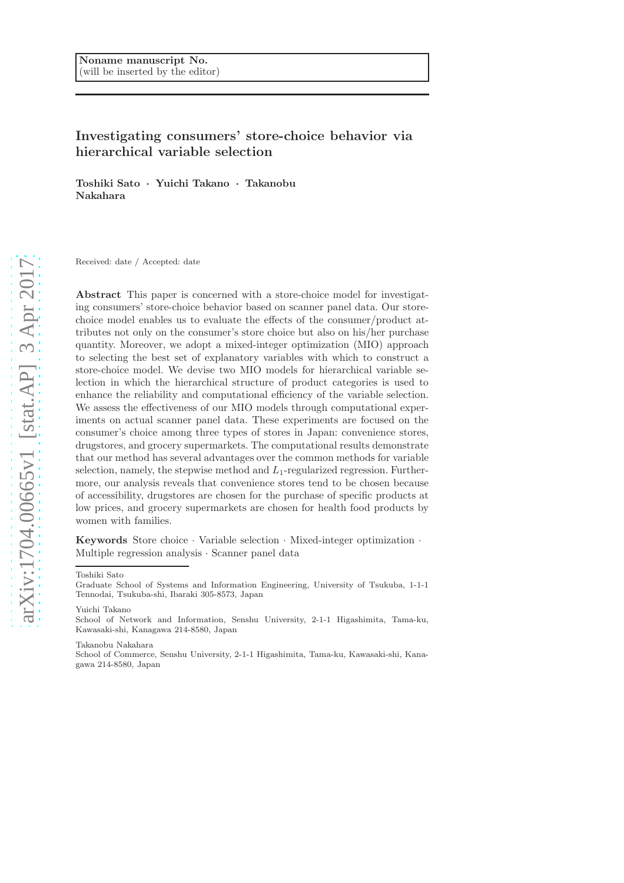# Investigating consumers' store-choice behavior via hierarchical variable selection

Toshiki Sato · Yuichi Takano · Takanobu Nakahara

Received: date / Accepted: date

Abstract This paper is concerned with a store-choice model for investigating consumers' store-choice behavior based on scanner panel data. Our storechoice model enables us to evaluate the effects of the consumer/product attributes not only on the consumer's store choice but also on his/her purchase quantity. Moreover, we adopt a mixed-integer optimization (MIO) approach to selecting the best set of explanatory variables with which to construct a store-choice model. We devise two MIO models for hierarchical variable selection in which the hierarchical structure of product categories is used to enhance the reliability and computational efficiency of the variable selection. We assess the effectiveness of our MIO models through computational experiments on actual scanner panel data. These experiments are focused on the consumer's choice among three types of stores in Japan: convenience stores, drugstores, and grocery supermarkets. The computational results demonstrate that our method has several advantages over the common methods for variable selection, namely, the stepwise method and  $L_1$ -regularized regression. Furthermore, our analysis reveals that convenience stores tend to be chosen because of accessibility, drugstores are chosen for the purchase of specific products at low prices, and grocery supermarkets are chosen for health food products by women with families.

**Keywords** Store choice  $\cdot$  Variable selection  $\cdot$  Mixed-integer optimization  $\cdot$ Multiple regression analysis · Scanner panel data

#### Toshiki Sato

Yuichi Takano

School of Network and Information, Senshu University, 2-1-1 Higashimita, Tama-ku, Kawasaki-shi, Kanagawa 214-8580, Japan

Takanobu Nakahara

School of Commerce, Senshu University, 2-1-1 Higashimita, Tama-ku, Kawasaki-shi, Kanagawa 214-8580, Japan

Graduate School of Systems and Information Engineering, University of Tsukuba, 1-1-1 Tennodai, Tsukuba-shi, Ibaraki 305-8573, Japan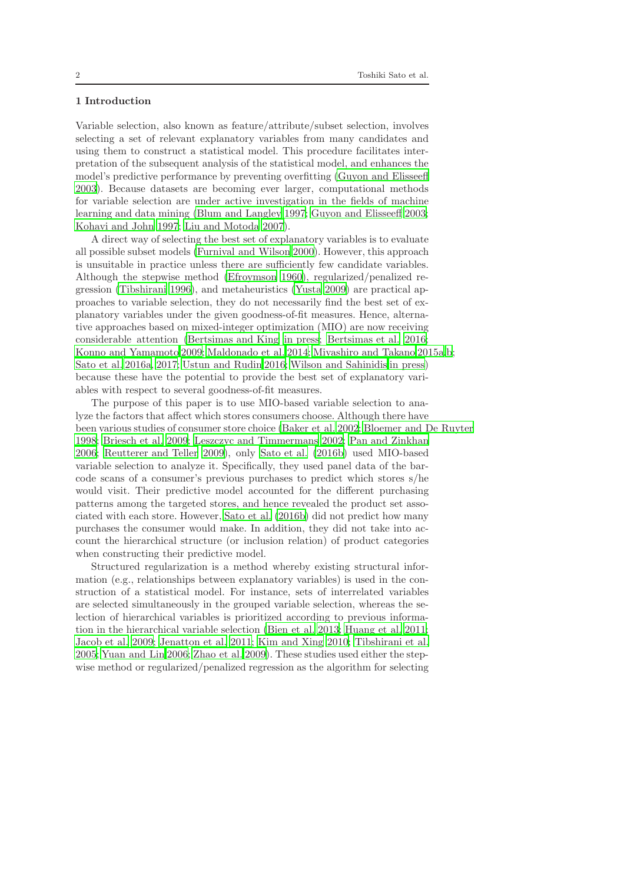# 1 Introduction

Variable selection, also known as feature/attribute/subset selection, involves selecting a set of relevant explanatory variables from many candidates and using them to construct a statistical model. This procedure facilitates interpretation of the subsequent analysis of the statistical model, and enhances the model's predictive performance by preventing overfitting [\(Guyon and Elisseeff](#page-15-0) [2003\)](#page-15-0). Because datasets are becoming ever larger, computational methods for variable selection are under active investigation in the fields of machine learning and data mining [\(Blum and Langley 1997](#page-15-1); [Guyon and Elisseeff 2003;](#page-15-0) [Kohavi and John 1997](#page-15-2); [Liu and Motoda 2007\)](#page-15-3).

A direct way of selecting the best set of explanatory variables is to evaluate all possible subset models [\(Furnival and Wilson 2000\)](#page-15-4). However, this approach is unsuitable in practice unless there are sufficiently few candidate variables. Although the stepwise method [\(Efroymson 1960](#page-15-5)), regularized/penalized regression [\(Tibshirani 1996](#page-16-0)), and metaheuristics [\(Yusta 2009\)](#page-16-1) are practical approaches to variable selection, they do not necessarily find the best set of explanatory variables under the given goodness-of-fit measures. Hence, alternative approaches based on mixed-integer optimization (MIO) are now receiving considerable attention [\(Bertsimas and King in press](#page-15-6); [Bertsimas et al. 2016;](#page-15-7) [Konno and Yamamoto 2009;](#page-15-8) [Maldonado et al. 2014;](#page-15-9) [Miyashiro and Takano 2015a](#page-16-2)[,b](#page-16-3); [Sato et al. 2016a,](#page-16-4) [2017;](#page-16-5) [Ustun and Rudin 2016;](#page-16-6) [Wilson and Sahinidis in press\)](#page-16-7) because these have the potential to provide the best set of explanatory variables with respect to several goodness-of-fit measures.

The purpose of this paper is to use MIO-based variable selection to analyze the factors that affect which stores consumers choose. Although there have been various studies of consumer store choice [\(Baker et al. 2002;](#page-15-10) [Bloemer and De Ruyter](#page-15-11) [1998;](#page-15-11) [Briesch et al. 2009](#page-15-12); [Leszczyc and Timmermans 2002;](#page-15-13) [Pan and](#page-16-8) Zinkhan [2006;](#page-16-8) [Reutterer and Teller 2009\)](#page-16-9), only [Sato et al. \(2016b\)](#page-16-10) used MIO-based variable selection to analyze it. Specifically, they used panel data of the barcode scans of a consumer's previous purchases to predict which stores s/he would visit. Their predictive model accounted for the different purchasing patterns among the targeted stores, and hence revealed the product set associated with each store. However, [Sato et al. \(2016b\)](#page-16-10) did not predict how many purchases the consumer would make. In addition, they did not take into account the hierarchical structure (or inclusion relation) of product categories when constructing their predictive model.

Structured regularization is a method whereby existing structural information (e.g., relationships between explanatory variables) is used in the construction of a statistical model. For instance, sets of interrelated variables are selected simultaneously in the grouped variable selection, whereas the selection of hierarchical variables is prioritized according to previous information in the hierarchical variable selection [\(Bien et al. 2013](#page-15-14); [Huang et al. 2011;](#page-15-15) [Jacob et al. 2009](#page-15-16); [Jenatton et al. 2011;](#page-15-17) [Kim and Xing 2010;](#page-15-18) [Tibshirani et al.](#page-16-11) [2005;](#page-16-11) [Yuan and Lin 2006](#page-16-12); [Zhao et al. 2009\)](#page-16-13). These studies used either the stepwise method or regularized/penalized regression as the algorithm for selecting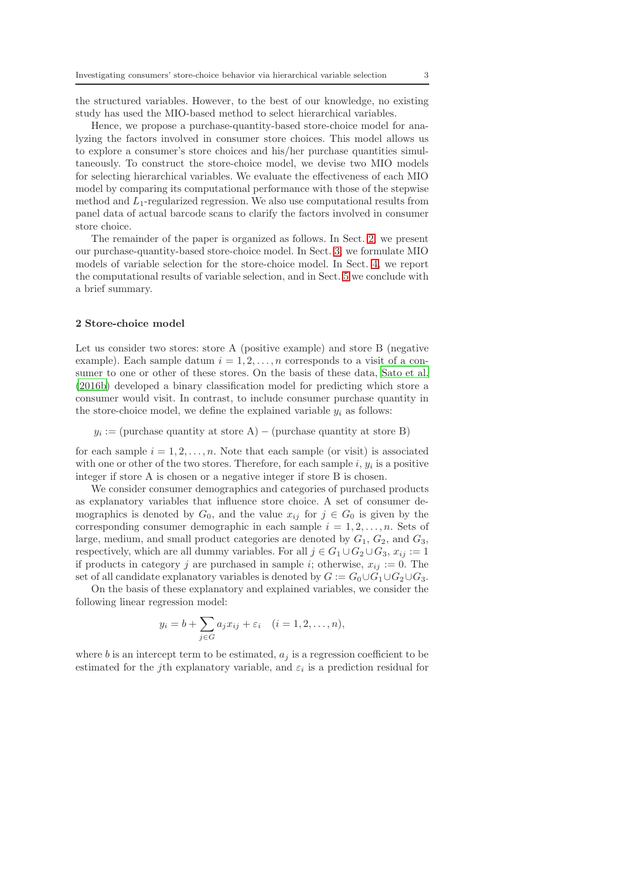the structured variables. However, to the best of our knowledge, no existing study has used the MIO-based method to select hierarchical variables.

Hence, we propose a purchase-quantity-based store-choice model for analyzing the factors involved in consumer store choices. This model allows us to explore a consumer's store choices and his/her purchase quantities simultaneously. To construct the store-choice model, we devise two MIO models for selecting hierarchical variables. We evaluate the effectiveness of each MIO model by comparing its computational performance with those of the stepwise method and  $L_1$ -regularized regression. We also use computational results from panel data of actual barcode scans to clarify the factors involved in consumer store choice.

The remainder of the paper is organized as follows. In Sect. [2,](#page-2-0) we present our purchase-quantity-based store-choice model. In Sect. [3,](#page-3-0) we formulate MIO models of variable selection for the store-choice model. In Sect. [4,](#page-5-0) we report the computational results of variable selection, and in Sect. [5](#page-14-0) we conclude with a brief summary.

## <span id="page-2-0"></span>2 Store-choice model

Let us consider two stores: store A (positive example) and store B (negative example). Each sample datum  $i = 1, 2, ..., n$  corresponds to a visit of a consumer to one or other of these stores. On the basis of these data, [Sato et al.](#page-16-10) [\(2016b\)](#page-16-10) developed a binary classification model for predicting which store a consumer would visit. In contrast, to include consumer purchase quantity in the store-choice model, we define the explained variable  $y_i$  as follows:

 $y_i := (purchase quantity at store A) - (purchase quantity at store B)$ 

for each sample  $i = 1, 2, \ldots, n$ . Note that each sample (or visit) is associated with one or other of the two stores. Therefore, for each sample  $i, y_i$  is a positive integer if store A is chosen or a negative integer if store B is chosen.

We consider consumer demographics and categories of purchased products as explanatory variables that influence store choice. A set of consumer demographics is denoted by  $G_0$ , and the value  $x_{ij}$  for  $j \in G_0$  is given by the corresponding consumer demographic in each sample  $i = 1, 2, \ldots, n$ . Sets of large, medium, and small product categories are denoted by  $G_1, G_2$ , and  $G_3$ , respectively, which are all dummy variables. For all  $j \in G_1 \cup G_2 \cup G_3$ ,  $x_{ij} := 1$ if products in category j are purchased in sample i; otherwise,  $x_{ij} := 0$ . The set of all candidate explanatory variables is denoted by  $G := G_0 \cup G_1 \cup G_2 \cup G_3$ .

On the basis of these explanatory and explained variables, we consider the following linear regression model:

$$
y_i = b + \sum_{j \in G} a_j x_{ij} + \varepsilon_i \quad (i = 1, 2, \dots, n),
$$

where b is an intercept term to be estimated,  $a_i$  is a regression coefficient to be estimated for the *j*th explanatory variable, and  $\varepsilon_i$  is a prediction residual for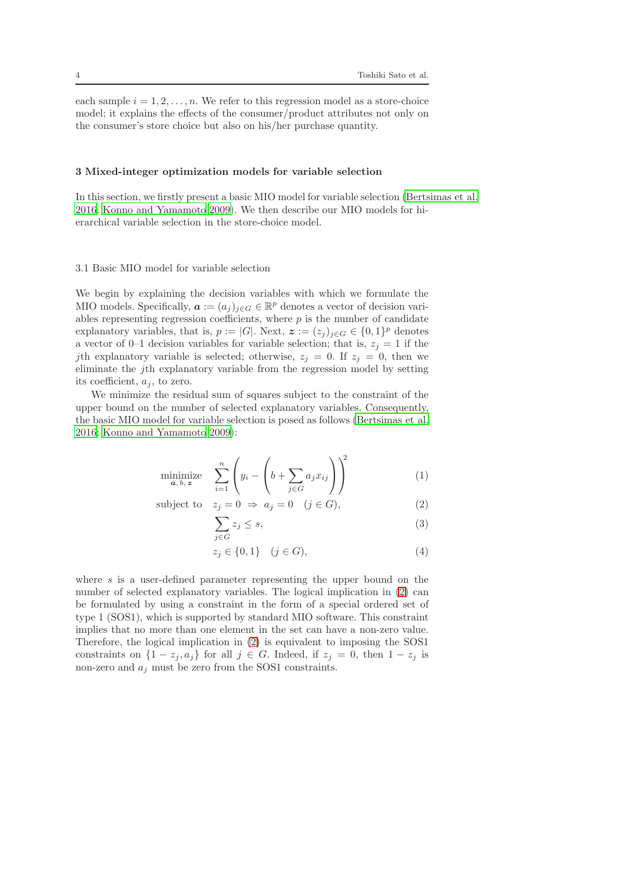each sample  $i = 1, 2, \ldots, n$ . We refer to this regression model as a store-choice model; it explains the effects of the consumer/product attributes not only on the consumer's store choice but also on his/her purchase quantity.

#### <span id="page-3-0"></span>3 Mixed-integer optimization models for variable selection

In this section, we firstly present a basic MIO model for variable selection [\(Bertsimas et al.](#page-15-7) [2016;](#page-15-7) [Konno and Yamamoto 2009\)](#page-15-8). We then describe our MIO models for hierarchical variable selection in the store-choice model.

# 3.1 Basic MIO model for variable selection

We begin by explaining the decision variables with which we formulate the MIO models. Specifically,  $\boldsymbol{a} := (a_j)_{j \in G} \in \mathbb{R}^p$  denotes a vector of decision variables representing regression coefficients, where  $p$  is the number of candidate explanatory variables, that is,  $p := |G|$ . Next,  $\boldsymbol{z} := (z_j)_{j \in G} \in \{0, 1\}^p$  denotes a vector of 0–1 decision variables for variable selection; that is,  $z_j = 1$  if the jth explanatory variable is selected; otherwise,  $z_j = 0$ . If  $z_j = 0$ , then we eliminate the jth explanatory variable from the regression model by setting its coefficient,  $a_i$ , to zero.

We minimize the residual sum of squares subject to the constraint of the upper bound on the number of selected explanatory variables. Consequently, the basic MIO model for variable selection is posed as follows [\(Bertsimas et al.](#page-15-7) [2016;](#page-15-7) [Konno and Yamamoto 2009\)](#page-15-8):

$$
\underset{\mathbf{a},\,b,\,\mathbf{z}}{\text{minimize}} \quad \sum_{i=1}^{n} \left( y_i - \left( b + \sum_{j \in G} a_j x_{ij} \right) \right)^2 \tag{1}
$$

subject to 
$$
z_j = 0 \Rightarrow a_j = 0 \quad (j \in G),
$$
 (2)

<span id="page-3-2"></span><span id="page-3-1"></span>
$$
\sum_{j \in G} z_j \le s,\tag{3}
$$

<span id="page-3-3"></span>
$$
z_j \in \{0, 1\} \quad (j \in G), \tag{4}
$$

where s is a user-defined parameter representing the upper bound on the number of selected explanatory variables. The logical implication in [\(2\)](#page-3-1) can be formulated by using a constraint in the form of a special ordered set of type 1 (SOS1), which is supported by standard MIO software. This constraint implies that no more than one element in the set can have a non-zero value. Therefore, the logical implication in [\(2\)](#page-3-1) is equivalent to imposing the SOS1 constraints on  $\{1 - z_j, a_j\}$  for all  $j \in G$ . Indeed, if  $z_j = 0$ , then  $1 - z_j$  is non-zero and  $a_j$  must be zero from the SOS1 constraints.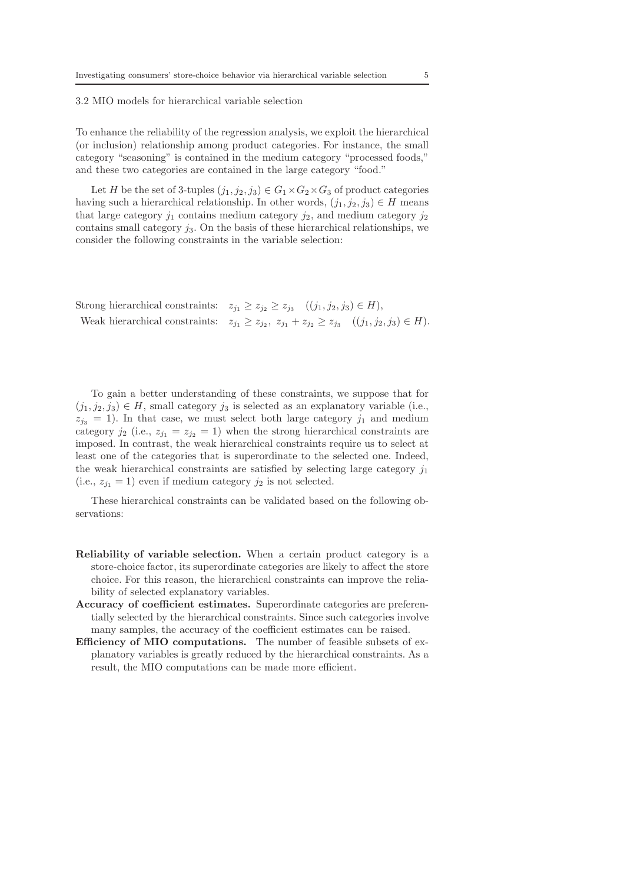## 3.2 MIO models for hierarchical variable selection

To enhance the reliability of the regression analysis, we exploit the hierarchical (or inclusion) relationship among product categories. For instance, the small category "seasoning" is contained in the medium category "processed foods," and these two categories are contained in the large category "food."

Let H be the set of 3-tuples  $(j_1, j_2, j_3) \in G_1 \times G_2 \times G_3$  of product categories having such a hierarchical relationship. In other words,  $(j_1, j_2, j_3) \in H$  means that large category  $j_1$  contains medium category  $j_2$ , and medium category  $j_2$ contains small category  $j_3$ . On the basis of these hierarchical relationships, we consider the following constraints in the variable selection:

| Strong hierarchical constraints: $z_{j_1} \ge z_{j_2} \ge z_{j_3}$ $((j_1, j_2, j_3) \in H),$                     |
|-------------------------------------------------------------------------------------------------------------------|
| Weak hierarchical constraints: $z_{j_1} \geq z_{j_2}, z_{j_1} + z_{j_2} \geq z_{j_3}$ $((j_1, j_2, j_3) \in H)$ . |

To gain a better understanding of these constraints, we suppose that for  $(j_1, j_2, j_3) \in H$ , small category  $j_3$  is selected as an explanatory variable (i.e.,  $z_{j3} = 1$ ). In that case, we must select both large category  $j_1$  and medium category  $j_2$  (i.e.,  $z_{j_1} = z_{j_2} = 1$ ) when the strong hierarchical constraints are imposed. In contrast, the weak hierarchical constraints require us to select at least one of the categories that is superordinate to the selected one. Indeed, the weak hierarchical constraints are satisfied by selecting large category  $j_1$ (i.e.,  $z_{i_1} = 1$ ) even if medium category  $j_2$  is not selected.

These hierarchical constraints can be validated based on the following observations:

- Reliability of variable selection. When a certain product category is a store-choice factor, its superordinate categories are likely to affect the store choice. For this reason, the hierarchical constraints can improve the reliability of selected explanatory variables.
- Accuracy of coefficient estimates. Superordinate categories are preferentially selected by the hierarchical constraints. Since such categories involve many samples, the accuracy of the coefficient estimates can be raised.
- Efficiency of MIO computations. The number of feasible subsets of explanatory variables is greatly reduced by the hierarchical constraints. As a result, the MIO computations can be made more efficient.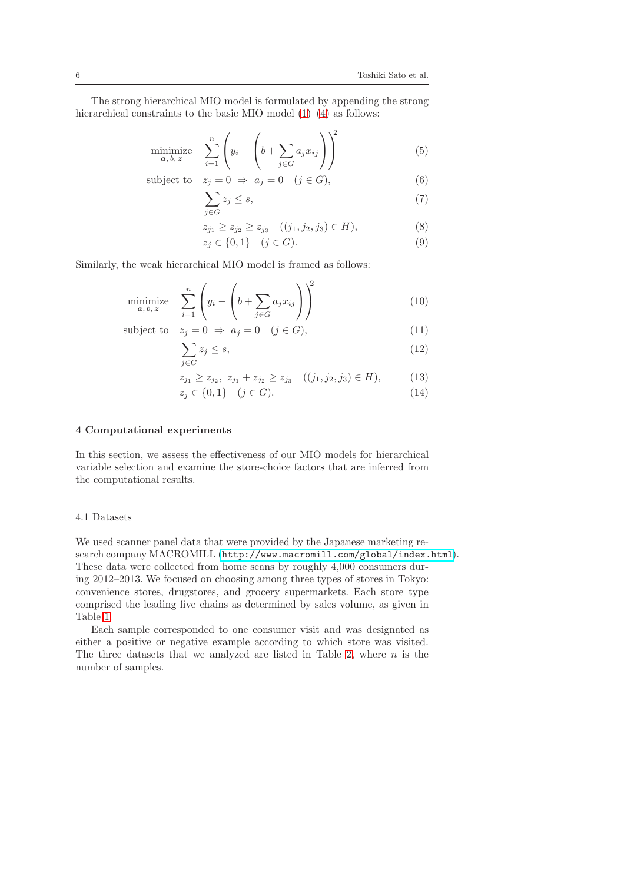The strong hierarchical MIO model is formulated by appending the strong hierarchical constraints to the basic MIO model  $(1)$ – $(4)$  as follows:

$$
\underset{\mathbf{a},\,b,\,\mathbf{z}}{\text{minimize}} \quad \sum_{i=1}^{n} \left( y_i - \left( b + \sum_{j \in G} a_j x_{ij} \right) \right)^2 \tag{5}
$$

subject to 
$$
z_j = 0 \Rightarrow a_j = 0 \quad (j \in G),
$$
 (6)

<span id="page-5-1"></span>
$$
\sum_{j \in G} z_j \le s,\tag{7}
$$

$$
z_{j_1} \ge z_{j_2} \ge z_{j_3} \quad ((j_1, j_2, j_3) \in H), \tag{8}
$$

<span id="page-5-3"></span><span id="page-5-2"></span>
$$
z_j \in \{0, 1\} \quad (j \in G). \tag{9}
$$

Similarly, the weak hierarchical MIO model is framed as follows:

$$
\underset{\mathbf{a},\,b,\,z}{\text{minimize}} \quad \sum_{i=1}^{n} \left( y_i - \left( b + \sum_{j \in G} a_j x_{ij} \right) \right)^2 \tag{10}
$$

subject to  $z_i = 0 \Rightarrow a_i = 0 \quad (j \in G)$ , (11)

$$
\sum_{j \in G} z_j \le s,\tag{12}
$$

$$
z_{j_1} \ge z_{j_2}, \ z_{j_1} + z_{j_2} \ge z_{j_3} \quad ((j_1, j_2, j_3) \in H), \tag{13}
$$

<span id="page-5-4"></span>
$$
z_j \in \{0, 1\} \quad (j \in G). \tag{14}
$$

# <span id="page-5-0"></span>4 Computational experiments

In this section, we assess the effectiveness of our MIO models for hierarchical variable selection and examine the store-choice factors that are inferred from the computational results.

#### 4.1 Datasets

We used scanner panel data that were provided by the Japanese marketing research company MACROMILL (<http://www.macromill.com/global/index.html>). These data were collected from home scans by roughly 4,000 consumers during 2012–2013. We focused on choosing among three types of stores in Tokyo: convenience stores, drugstores, and grocery supermarkets. Each store type comprised the leading five chains as determined by sales volume, as given in Table [1.](#page-6-0)

Each sample corresponded to one consumer visit and was designated as either a positive or negative example according to which store was visited. The three datasets that we analyzed are listed in Table [2,](#page-6-1) where  $n$  is the number of samples.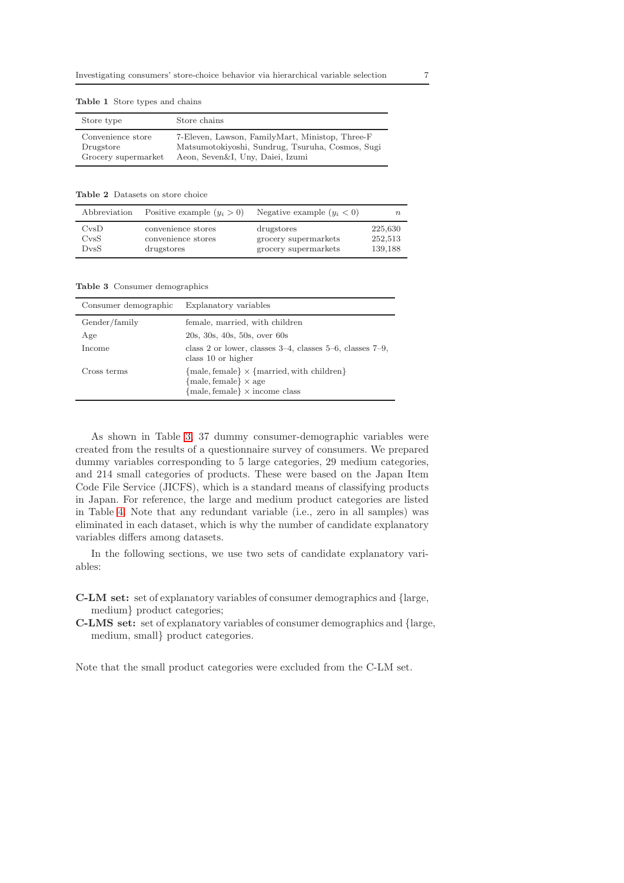<span id="page-6-0"></span>

| Store type          | Store chains                                     |
|---------------------|--------------------------------------------------|
| Convenience store   | 7-Eleven, Lawson, FamilyMart, Ministop, Three-F  |
| Drugstore           | Matsumotokiyoshi, Sundrug, Tsuruha, Cosmos, Sugi |
| Grocery supermarket | Aeon, Seven&I, Uny, Daiei, Izumi                 |

Table 2 Datasets on store choice

<span id="page-6-1"></span>

| Abbreviation    | Positive example $(y_i > 0)$ | Negative example $(y_i < 0)$ | n       |
|-----------------|------------------------------|------------------------------|---------|
| CvSD            | convenience stores           | drugstores                   | 225,630 |
| C <sub>VS</sub> | convenience stores           | grocery supermarkets         | 252,513 |
| D <sub>VS</sub> | drugstores                   | grocery supermarkets         | 139,188 |

Table 3 Consumer demographics

<span id="page-6-2"></span>

| Consumer demographic | Explanatory variables                                                                                                   |
|----------------------|-------------------------------------------------------------------------------------------------------------------------|
| Gender/family        | female, married, with children                                                                                          |
| Age                  | 20s, 30s, 40s, 50s, over 60s                                                                                            |
| Income               | class 2 or lower, classes $3-4$ , classes $5-6$ , classes $7-9$ ,<br>class 10 or higher                                 |
| Cross terms          | ${male, female} \times {married, with children}$<br>${male, female} \times age$<br>${male, female} \times income class$ |

As shown in Table [3,](#page-6-2) 37 dummy consumer-demographic variables were created from the results of a questionnaire survey of consumers. We prepared dummy variables corresponding to 5 large categories, 29 medium categories, and 214 small categories of products. These were based on the Japan Item Code File Service (JICFS), which is a standard means of classifying products in Japan. For reference, the large and medium product categories are listed in Table [4.](#page-7-0) Note that any redundant variable (i.e., zero in all samples) was eliminated in each dataset, which is why the number of candidate explanatory variables differs among datasets.

In the following sections, we use two sets of candidate explanatory variables:

- C-LM set: set of explanatory variables of consumer demographics and {large, medium} product categories;
- C-LMS set: set of explanatory variables of consumer demographics and {large, medium, small} product categories.

Note that the small product categories were excluded from the C-LM set.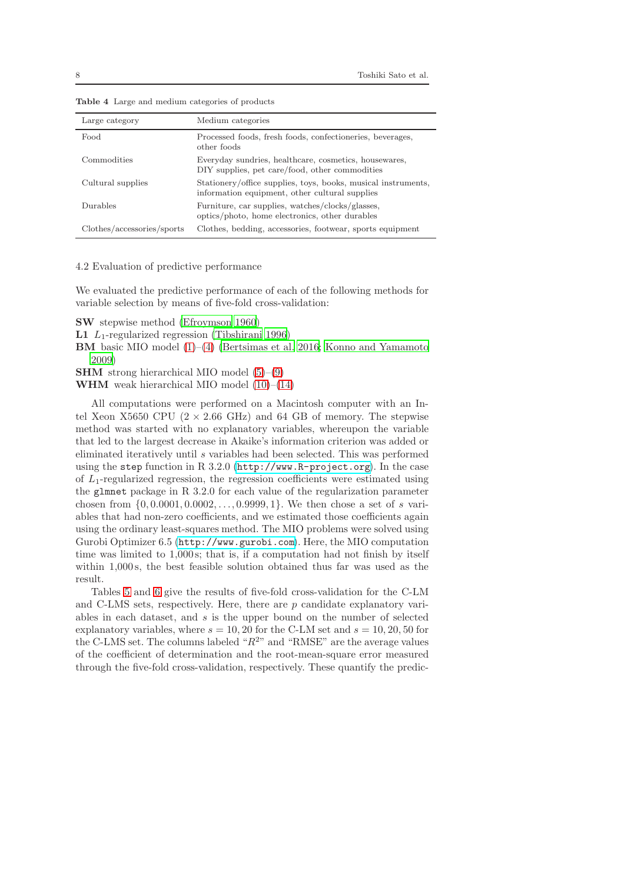<span id="page-7-0"></span>

| Large category             | Medium categories                                                                                               |
|----------------------------|-----------------------------------------------------------------------------------------------------------------|
| Food                       | Processed foods, fresh foods, confectioneries, beverages,<br>other foods                                        |
| Commodities                | Everyday sundries, healthcare, cosmetics, housewares,<br>DIY supplies, pet care/food, other commodities         |
| Cultural supplies          | Stationery/office supplies, toys, books, musical instruments,<br>information equipment, other cultural supplies |
| Durables                   | Furniture, car supplies, watches/clocks/glasses,<br>optics/photo, home electronics, other durables              |
| Clothes/accessories/sports | Clothes, bedding, accessories, footwear, sports equipment                                                       |

Table 4 Large and medium categories of products

4.2 Evaluation of predictive performance

We evaluated the predictive performance of each of the following methods for variable selection by means of five-fold cross-validation:

SW stepwise method [\(Efroymson 1960](#page-15-5))

**L1**  $L_1$ -regularized regression [\(Tibshirani 1996](#page-16-0))

BM basic MIO model [\(1\)](#page-3-2)–[\(4\)](#page-3-3) [\(Bertsimas et al. 2016](#page-15-7); [Konno and Yamamoto](#page-15-8) [2009\)](#page-15-8)

SHM strong hierarchical MIO model [\(5\)](#page-5-1)–[\(9\)](#page-5-2)

WHM weak hierarchical MIO model [\(10\)](#page-5-3)–[\(14\)](#page-5-4)

All computations were performed on a Macintosh computer with an Intel Xeon X5650 CPU  $(2 \times 2.66 \text{ GHz})$  and 64 GB of memory. The stepwise method was started with no explanatory variables, whereupon the variable that led to the largest decrease in Akaike's information criterion was added or eliminated iteratively until s variables had been selected. This was performed using the step function in R 3.2.0 (<http://www.R-project.org>). In the case of  $L_1$ -regularized regression, the regression coefficients were estimated using the glmnet package in R 3.2.0 for each value of the regularization parameter chosen from  $\{0, 0.0001, 0.0002, \ldots, 0.9999, 1\}$ . We then chose a set of s variables that had non-zero coefficients, and we estimated those coefficients again using the ordinary least-squares method. The MIO problems were solved using Gurobi Optimizer 6.5 (<http://www.gurobi.com>). Here, the MIO computation time was limited to 1,000s; that is, if a computation had not finish by itself within 1,000 s, the best feasible solution obtained thus far was used as the result.

Tables [5](#page-8-0) and [6](#page-10-0) give the results of five-fold cross-validation for the C-LM and C-LMS sets, respectively. Here, there are  $p$  candidate explanatory variables in each dataset, and s is the upper bound on the number of selected explanatory variables, where  $s = 10, 20$  for the C-LM set and  $s = 10, 20, 50$  for the C-LMS set. The columns labeled " $R^{2n}$  and "RMSE" are the average values of the coefficient of determination and the root-mean-square error measured through the five-fold cross-validation, respectively. These quantify the predic-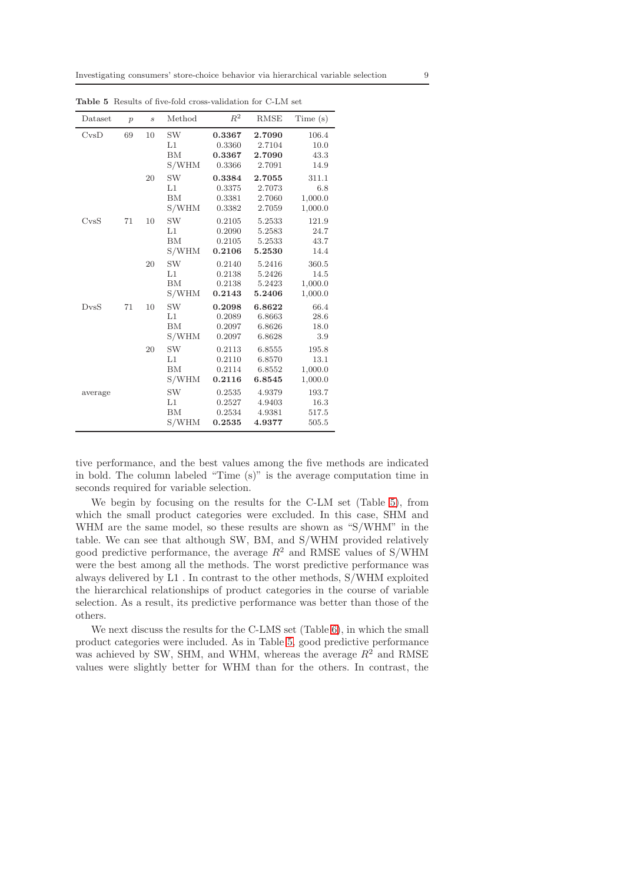<span id="page-8-0"></span>

| Dataset         | $\mathcal{p}$ | $\boldsymbol{s}$ | Method                                | $R^2$                                | <b>RMSE</b>                          | Time(s)                             |
|-----------------|---------------|------------------|---------------------------------------|--------------------------------------|--------------------------------------|-------------------------------------|
| CvSD            | 69            | 10               | SW<br>L1<br>BM<br>S/WHM               | 0.3367<br>0.3360<br>0.3367<br>0.3366 | 2.7090<br>2.7104<br>2.7090<br>2.7091 | 106.4<br>10.0<br>43.3<br>14.9       |
|                 |               | 20               | <b>SW</b><br>L1<br>BM<br>S/WHM        | 0.3384<br>0.3375<br>0.3381<br>0.3382 | 2.7055<br>2.7073<br>2.7060<br>2.7059 | 311.1<br>6.8<br>1,000.0<br>1,000.0  |
| C <sub>VS</sub> | 71            | 10               | <b>SW</b><br>L1<br>BM<br>S/WHM        | 0.2105<br>0.2090<br>0.2105<br>0.2106 | 5.2533<br>5.2583<br>5.2533<br>5.2530 | 121.9<br>24.7<br>43.7<br>14.4       |
|                 |               | 20               | <b>SW</b><br>L1<br><b>BM</b><br>S/WHM | 0.2140<br>0.2138<br>0.2138<br>0.2143 | 5.2416<br>5.2426<br>5.2423<br>5.2406 | 360.5<br>14.5<br>1,000.0<br>1,000.0 |
| D <sub>VS</sub> | 71            | 10               | <b>SW</b><br>L1<br>BM<br>S/WHM        | 0.2098<br>0.2089<br>0.2097<br>0.2097 | 6.8622<br>6.8663<br>6.8626<br>6.8628 | 66.4<br>28.6<br>18.0<br>3.9         |
|                 |               | 20               | <b>SW</b><br>L1<br>BM<br>S/WHM        | 0.2113<br>0.2110<br>0.2114<br>0.2116 | 6.8555<br>6.8570<br>6.8552<br>6.8545 | 195.8<br>13.1<br>1,000.0<br>1,000.0 |
| average         |               |                  | <b>SW</b><br>L1<br><b>BM</b><br>S/WHM | 0.2535<br>0.2527<br>0.2534<br>0.2535 | 4.9379<br>4.9403<br>4.9381<br>4.9377 | 193.7<br>16.3<br>517.5<br>505.5     |

Table 5 Results of five-fold cross-validation for C-LM set

tive performance, and the best values among the five methods are indicated in bold. The column labeled "Time (s)" is the average computation time in seconds required for variable selection.

We begin by focusing on the results for the C-LM set (Table [5\)](#page-8-0), from which the small product categories were excluded. In this case, SHM and WHM are the same model, so these results are shown as "S/WHM" in the table. We can see that although SW, BM, and S/WHM provided relatively good predictive performance, the average  $R^2$  and RMSE values of S/WHM were the best among all the methods. The worst predictive performance was always delivered by L1 . In contrast to the other methods, S/WHM exploited the hierarchical relationships of product categories in the course of variable selection. As a result, its predictive performance was better than those of the others.

We next discuss the results for the C-LMS set (Table [6\)](#page-10-0), in which the small product categories were included. As in Table [5,](#page-8-0) good predictive performance was achieved by SW, SHM, and WHM, whereas the average  $R^2$  and RMSE values were slightly better for WHM than for the others. In contrast, the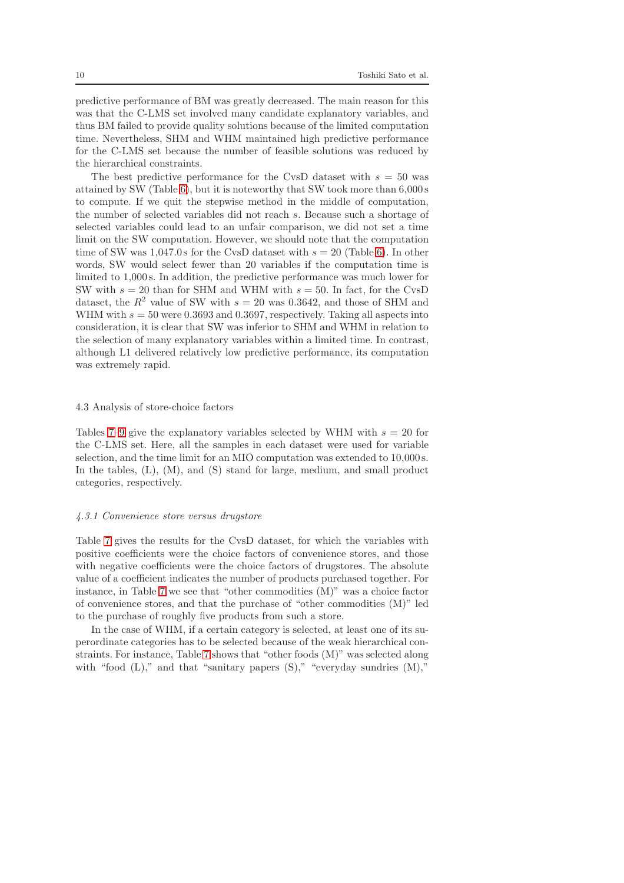predictive performance of BM was greatly decreased. The main reason for this was that the C-LMS set involved many candidate explanatory variables, and thus BM failed to provide quality solutions because of the limited computation time. Nevertheless, SHM and WHM maintained high predictive performance for the C-LMS set because the number of feasible solutions was reduced by the hierarchical constraints.

The best predictive performance for the CvsD dataset with  $s = 50$  was attained by SW (Table [6\)](#page-10-0), but it is noteworthy that SW took more than 6,000 s to compute. If we quit the stepwise method in the middle of computation, the number of selected variables did not reach s. Because such a shortage of selected variables could lead to an unfair comparison, we did not set a time limit on the SW computation. However, we should note that the computation time of SW was  $1,047.0$  s for the CvsD dataset with  $s = 20$  (Table [6\)](#page-10-0). In other words, SW would select fewer than 20 variables if the computation time is limited to 1,000 s. In addition, the predictive performance was much lower for SW with  $s = 20$  than for SHM and WHM with  $s = 50$ . In fact, for the CvsD dataset, the  $R^2$  value of SW with  $s = 20$  was 0.3642, and those of SHM and WHM with  $s = 50$  were 0.3693 and 0.3697, respectively. Taking all aspects into consideration, it is clear that SW was inferior to SHM and WHM in relation to the selection of many explanatory variables within a limited time. In contrast, although L1 delivered relatively low predictive performance, its computation was extremely rapid.

#### 4.3 Analysis of store-choice factors

Tables [7–](#page-11-0)[9](#page-13-0) give the explanatory variables selected by WHM with  $s = 20$  for the C-LMS set. Here, all the samples in each dataset were used for variable selection, and the time limit for an MIO computation was extended to 10,000 s. In the tables, (L), (M), and (S) stand for large, medium, and small product categories, respectively.

#### 4.3.1 Convenience store versus drugstore

Table [7](#page-11-0) gives the results for the CvsD dataset, for which the variables with positive coefficients were the choice factors of convenience stores, and those with negative coefficients were the choice factors of drugstores. The absolute value of a coefficient indicates the number of products purchased together. For instance, in Table [7](#page-11-0) we see that "other commodities (M)" was a choice factor of convenience stores, and that the purchase of "other commodities (M)" led to the purchase of roughly five products from such a store.

In the case of WHM, if a certain category is selected, at least one of its superordinate categories has to be selected because of the weak hierarchical constraints. For instance, Table [7](#page-11-0) shows that "other foods (M)" was selected along with "food  $(L)$ ," and that "sanitary papers  $(S)$ ," "everyday sundries  $(M)$ ,"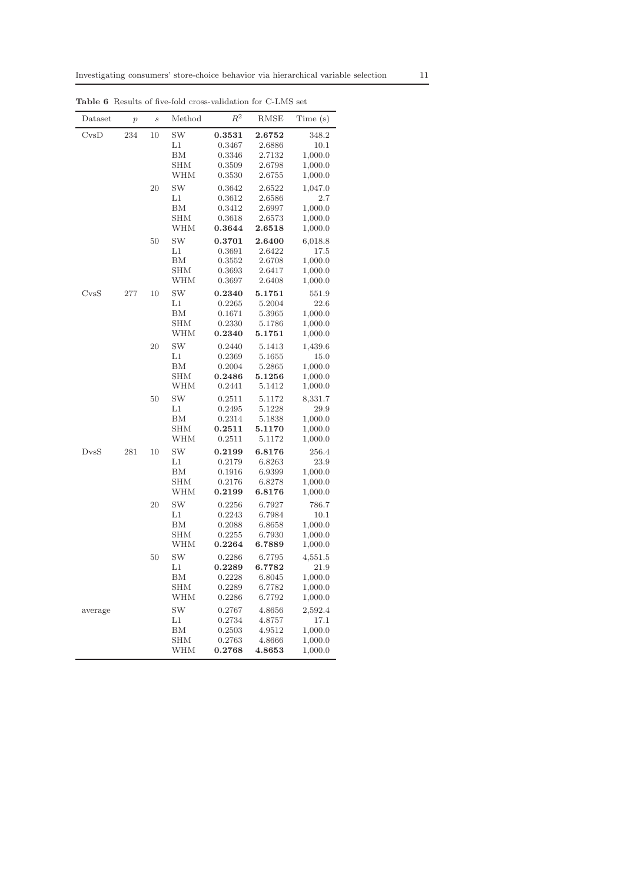<span id="page-10-0"></span>

| Dataset                                                                           | $\overline{p}$ | $\boldsymbol{s}$ | Method                                      | $R^2$                                                    | RMSE                                                     | Time(s)                                                     |
|-----------------------------------------------------------------------------------|----------------|------------------|---------------------------------------------|----------------------------------------------------------|----------------------------------------------------------|-------------------------------------------------------------|
| CvSD                                                                              | 234            | 10               | <b>SW</b><br>L1<br>ΒM<br>SHM<br>WHM         | 0.3531<br>0.3467<br>0.3346<br>0.3509<br>${ 0.3530}$      | 2.6752<br>2.6886<br>2.7132<br>2.6798<br>2.6755           | 348.2<br>10.1<br>1,000.0<br>1,000.0<br>1,000.0              |
|                                                                                   |                | 20               | SW<br>L1<br>BМ<br><b>SHM</b><br>WHM         | 0.3642<br>0.3612<br>0.3412<br>0.3618<br>0.3644           | 2.6522<br>2.6586<br>2.6997<br>2.6573<br>2.6518           | 1,047.0<br>2.7<br>1,000.0<br>1,000.0<br>1,000.0             |
|                                                                                   |                | 50               | SW<br>L1<br>BМ<br>SHM<br>WHM                | 0.3701<br>0.3691<br>0.3552<br>0.3693<br>0.3697           | 2.6400<br>2.6422<br>2.6708<br>2.6417<br>2.6408           | 6,018.8<br>17.5<br>1,000.0<br>1,000.0<br>1,000.0            |
| $\mathrm{CvsS}% _{\mathrm{Cov}}(\theta)\sim\mathrm{CvsS}_{\mathrm{Cov}}(\theta).$ | 277            | 10               | SW<br>$_{\rm L1}$<br>ΒM<br>SHM<br>WHM       | 0.2340<br>0.2265<br>0.1671<br>0.2330<br>0.2340           | 5.1751<br>5.2004<br>5.3965<br>5.1786<br>5.1751           | 551.9<br>22.6<br>1,000.0<br>1,000.0<br>1,000.0              |
|                                                                                   |                | 20               | <b>SW</b><br>L1<br>BM<br>SHM<br>WHM         | 0.2440<br>0.2369<br>0.2004<br>0.2486<br>0.2441           | 5.1413<br>5.1655<br>5.2865<br>5.1256<br>5.1412           | 1,439.6<br>15.0<br>1,000.0<br>1,000.0<br>1,000.0            |
|                                                                                   |                | 50               | SW<br>L1<br>ΒM<br>SHM<br>WHM                | 0.2511<br>0.2495<br>0.2314<br>0.2511<br>0.2511           | 5.1172<br>5.1228<br>5.1838<br>5.1170<br>5.1172           | 8,331.7<br>29.9<br>1,000.0<br>1,000.0<br>1,000.0            |
| D <sub>VS</sub>                                                                   | 281            | 10               | SW<br>L1<br>BM<br>SHM<br>WHM                | 0.2199<br>0.2179<br>0.1916<br>0.2176<br>0.2199           | 6.8176<br>6.8263<br>6.9399<br>6.8278<br>6.8176           | 256.4<br>23.9<br>1,000.0<br>1,000.0<br>1,000.0              |
|                                                                                   |                | 20               | SW<br>L1<br>ΒM<br>SHM<br>WHM                | 0.2256<br>0.2243<br>0.2088<br>0.2255<br>0.2264           | 6.7927<br>6.7984<br>6.8658<br>6.7930<br>6.7889           | 786.7<br>10.1<br>1,000.0<br>1,000.0<br>1,000.0              |
|                                                                                   |                | 50               | SW<br>$_{\rm L1}$<br>ΒМ<br>SHM<br>WHM<br>SW | 0.2286<br>0.2289<br>0.2228<br>0.2289<br>0.2286<br>0.2767 | 6.7795<br>6.7782<br>6.8045<br>6.7782<br>6.7792<br>4.8656 | 4,551.5<br>21.9<br>1,000.0<br>1,000.0<br>1,000.0<br>2,592.4 |
| average                                                                           |                |                  | $_{L1}$<br>BM<br>SHM<br>WHM                 | 0.2734<br>0.2503<br>0.2763<br>0.2768                     | 4.8757<br>4.9512<br>4.8666<br>4.8653                     | 17.1<br>1,000.0<br>1,000.0<br>1,000.0                       |

Table 6 Results of five-fold cross-validation for C-LMS set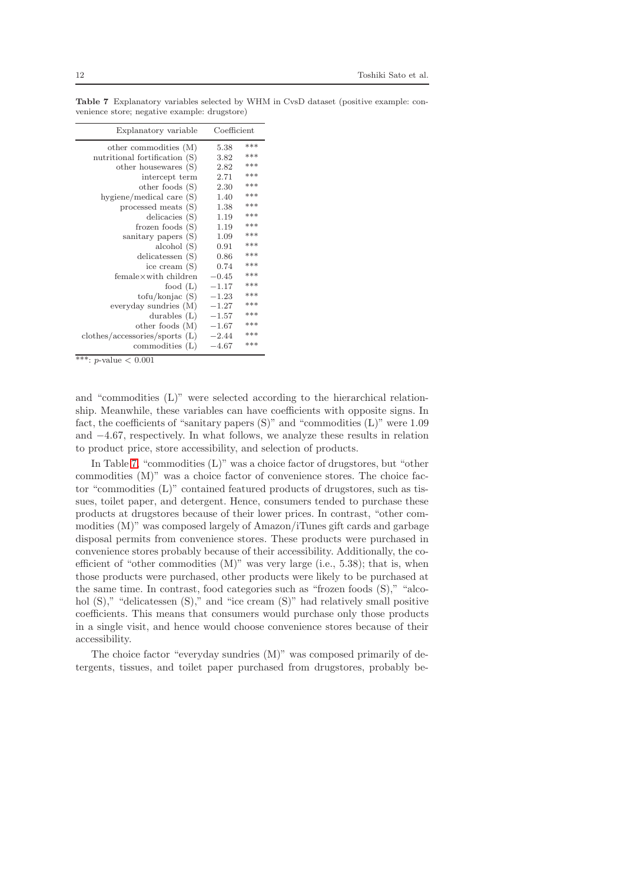<span id="page-11-0"></span>

| Explanatory variable           | Coefficient |     |
|--------------------------------|-------------|-----|
| other commodities (M)          | 5.38        | *** |
| nutritional fortification (S)  | 3.82        | *** |
| other housewares (S)           | 2.82        | *** |
| intercept term                 | 2.71        | *** |
| other foods $(S)$              | 2.30        | *** |
| hygiene/medical care $(S)$     | 1.40        | *** |
| processed meats (S)            | 1.38        | *** |
| delicacies $(S)$               | 1.19        | *** |
| frozen foods $(S)$             | 1.19        | *** |
| sanitary papers (S)            | 1.09        | *** |
| alcbol(S)                      | 0.91        | *** |
| delicatessen (S)               | 0.86        | *** |
| ice cream (S)                  | 0.74        | *** |
| female×with children           | $-0.45$     | *** |
| food $(L)$                     | $-1.17$     | *** |
| $\text{tofu/konjac (S)}$       | $-1.23$     | *** |
| everyday sundries $(M)$        | $-1.27$     | *** |
| durables $(L)$                 | $-1.57$     | *** |
| other foods $(M)$              | $-1.67$     | *** |
| clothes/accessories/sports (L) | $-2.44$     | *** |
| commodities $(L)$              | $-4.67$     | *** |
| esksk<br>L.<br>2001            |             |     |

Table 7 Explanatory variables selected by WHM in CvsD dataset (positive example: convenience store; negative example: drugstore)

\*\*\*:  $p$ -value  $< 0.001$ 

and "commodities (L)" were selected according to the hierarchical relationship. Meanwhile, these variables can have coefficients with opposite signs. In fact, the coefficients of "sanitary papers  $(S)$ " and "commodities  $(L)$ " were 1.09 and −4.67, respectively. In what follows, we analyze these results in relation to product price, store accessibility, and selection of products.

In Table [7,](#page-11-0) "commodities (L)" was a choice factor of drugstores, but "other commodities (M)" was a choice factor of convenience stores. The choice factor "commodities (L)" contained featured products of drugstores, such as tissues, toilet paper, and detergent. Hence, consumers tended to purchase these products at drugstores because of their lower prices. In contrast, "other commodities (M)" was composed largely of Amazon/iTunes gift cards and garbage disposal permits from convenience stores. These products were purchased in convenience stores probably because of their accessibility. Additionally, the coefficient of "other commodities (M)" was very large (i.e., 5.38); that is, when those products were purchased, other products were likely to be purchased at the same time. In contrast, food categories such as "frozen foods (S)," "alcohol  $(S)$ ," "delicatessen  $(S)$ ," and "ice cream  $(S)$ " had relatively small positive coefficients. This means that consumers would purchase only those products in a single visit, and hence would choose convenience stores because of their accessibility.

The choice factor "everyday sundries (M)" was composed primarily of detergents, tissues, and toilet paper purchased from drugstores, probably be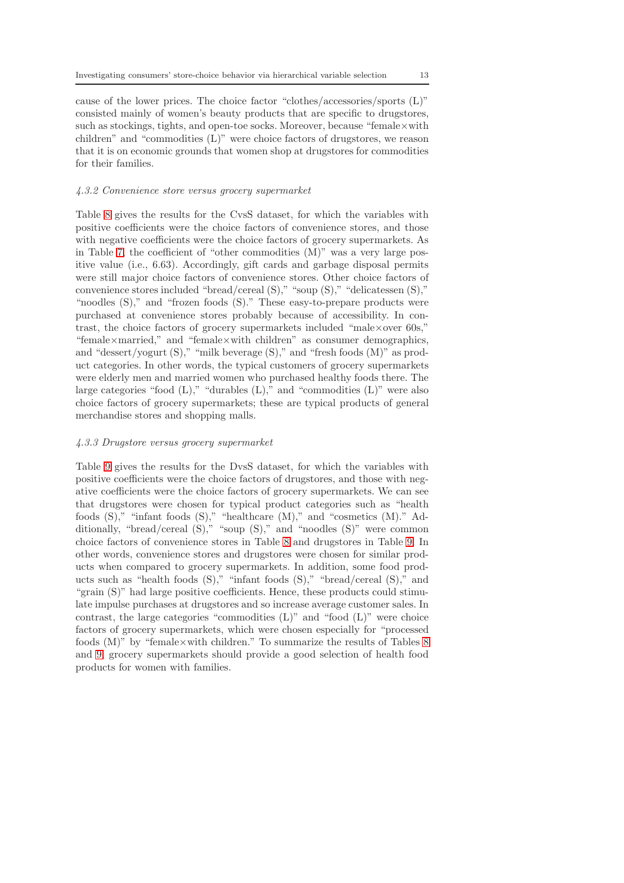cause of the lower prices. The choice factor "clothes/accessories/sports (L)" consisted mainly of women's beauty products that are specific to drugstores, such as stockings, tights, and open-toe socks. Moreover, because "female $\times$ with children" and "commodities (L)" were choice factors of drugstores, we reason that it is on economic grounds that women shop at drugstores for commodities for their families.

## 4.3.2 Convenience store versus grocery supermarket

Table [8](#page-13-1) gives the results for the CvsS dataset, for which the variables with positive coefficients were the choice factors of convenience stores, and those with negative coefficients were the choice factors of grocery supermarkets. As in Table [7,](#page-11-0) the coefficient of "other commodities  $(M)$ " was a very large positive value (i.e., 6.63). Accordingly, gift cards and garbage disposal permits were still major choice factors of convenience stores. Other choice factors of convenience stores included "bread/cereal (S)," "soup (S)," "delicatessen (S)," "noodles  $(S)$ ," and "frozen foods  $(S)$ ." These easy-to-prepare products were purchased at convenience stores probably because of accessibility. In contrast, the choice factors of grocery supermarkets included "male×over 60s," "female×married," and "female×with children" as consumer demographics, and "dessert/yogurt (S)," "milk beverage (S)," and "fresh foods (M)" as product categories. In other words, the typical customers of grocery supermarkets were elderly men and married women who purchased healthy foods there. The large categories "food  $(L)$ ," "durables  $(L)$ ," and "commodities  $(L)$ " were also choice factors of grocery supermarkets; these are typical products of general merchandise stores and shopping malls.

# 4.3.3 Drugstore versus grocery supermarket

Table [9](#page-13-0) gives the results for the DvsS dataset, for which the variables with positive coefficients were the choice factors of drugstores, and those with negative coefficients were the choice factors of grocery supermarkets. We can see that drugstores were chosen for typical product categories such as "health foods (S)," "infant foods (S)," "healthcare (M)," and "cosmetics (M)." Additionally, "bread/cereal (S)," "soup (S)," and "noodles (S)" were common choice factors of convenience stores in Table [8](#page-13-1) and drugstores in Table [9.](#page-13-0) In other words, convenience stores and drugstores were chosen for similar products when compared to grocery supermarkets. In addition, some food products such as "health foods (S)," "infant foods (S)," "bread/cereal (S)," and "grain (S)" had large positive coefficients. Hence, these products could stimulate impulse purchases at drugstores and so increase average customer sales. In contrast, the large categories "commodities (L)" and "food (L)" were choice factors of grocery supermarkets, which were chosen especially for "processed foods  $(M)$ " by "female×with children." To summarize the results of Tables [8](#page-13-1) and [9,](#page-13-0) grocery supermarkets should provide a good selection of health food products for women with families.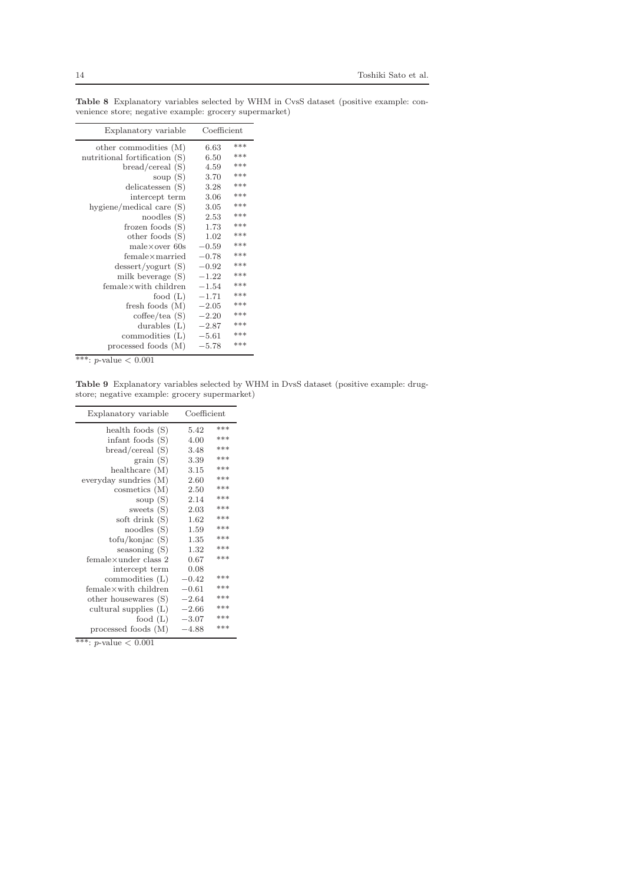| Explanatory variable             | Coefficient    |
|----------------------------------|----------------|
| other commodities (M)            | ***<br>6.63    |
| nutritional fortification (S)    | ***<br>6.50    |
| bread/cereal(S)                  | ***<br>4.59    |
| soup $(S)$                       | ***<br>3.70    |
| delicatessen $(S)$               | ***<br>3.28    |
| intercept term                   | ***<br>3.06    |
| hygiene/medical care (S)         | ***<br>3.05    |
| noodles(S)                       | ***<br>2.53    |
| frozen foods $(S)$               | ***<br>1.73    |
| other foods (S)                  | ***<br>1.02    |
| $male \times over 60s$           | ***<br>$-0.59$ |
| $f$ emale $\times$ married       | ***<br>$-0.78$ |
| desert/yogurt(S)                 | ***<br>$-0.92$ |
| milk beverage $(S)$              | ***<br>$-1.22$ |
| $f$ emale $\times$ with children | ***<br>$-1.54$ |
| food $(L)$                       | ***<br>$-1.71$ |
| fresh foods $(M)$                | ***<br>$-2.05$ |
| cofree/tea(S)                    | ***<br>$-2.20$ |
| durables $(L)$                   | ***<br>$-2.87$ |
| commodities $(L)$                | ***<br>$-5.61$ |
| processed foods (M)              | ***<br>$-5.78$ |
| ナナチ<br>л<br>0.021                |                |

<span id="page-13-1"></span>Table 8 Explanatory variables selected by WHM in CvsS dataset (positive example: convenience store; negative example: grocery supermarket)

\*\*\*: *p*-value  $< 0.001$ 

<span id="page-13-0"></span>Table 9 Explanatory variables selected by WHM in DvsS dataset (positive example: drugstore; negative example: grocery supermarket)

| Explanatory variable     | Coefficient |       |
|--------------------------|-------------|-------|
| health foods $(S)$       | 5.42        | $***$ |
| infant foods $(S)$       | 4.00        | ***   |
| bread/cereal(S)          | 3.48        | ***   |
| grain(S)                 | 3.39        | ***   |
| healthcare $(M)$         | 3.15        | ***   |
| everyday sundries $(M)$  | 2.60        | ***   |
| cosmetics (M)            | 2.50        | ***   |
| soup $(S)$               | 2.14        | ***   |
| sweets $(S)$             | 2.03        | ***   |
| soft drink (S)           | 1.62        | ***   |
| noodles(S)               | 1.59        | ***   |
| $\text{tofu/konjac (S)}$ | 1.35        | ***   |
| seasoning $(S)$          | 1.32        | ***   |
| femalexunder class 2     | 0.67        | ***   |
| intercept term           | 0.08        |       |
| commodities $(L)$        | $-0.42$     | ***   |
| femalex with children    | $-0.61$     | ***   |
| other housewares (S)     | $-2.64$     | ***   |
| cultural supplies $(L)$  | $-2.66$     | ***   |
| food $(L)$               | $-3.07$     | ***   |
| processed foods (M)      | $-4.88$     | ***   |

\*\*\*: p-value <  $0.001\,$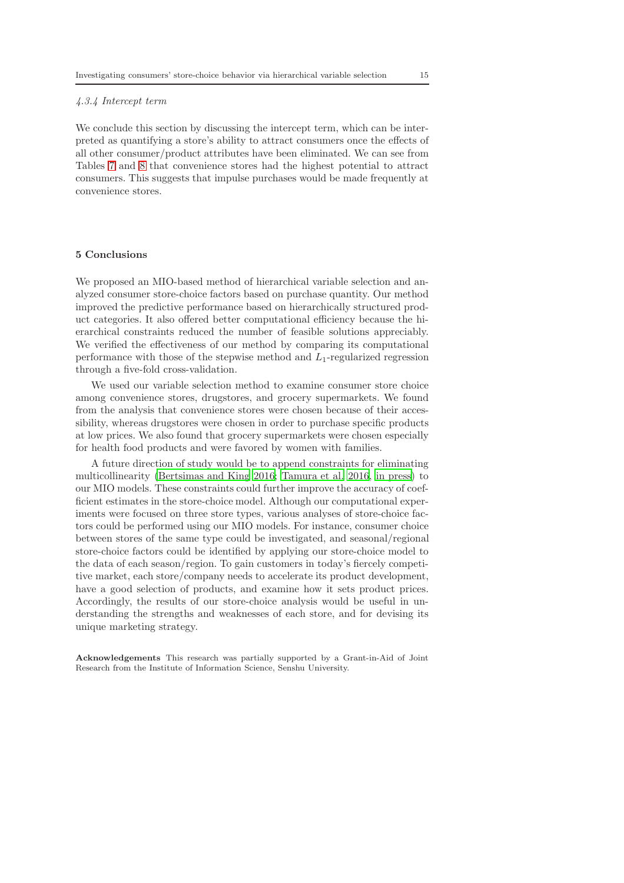## 4.3.4 Intercept term

We conclude this section by discussing the intercept term, which can be interpreted as quantifying a store's ability to attract consumers once the effects of all other consumer/product attributes have been eliminated. We can see from Tables [7](#page-11-0) and [8](#page-13-1) that convenience stores had the highest potential to attract consumers. This suggests that impulse purchases would be made frequently at convenience stores.

#### <span id="page-14-0"></span>5 Conclusions

We proposed an MIO-based method of hierarchical variable selection and analyzed consumer store-choice factors based on purchase quantity. Our method improved the predictive performance based on hierarchically structured product categories. It also offered better computational efficiency because the hierarchical constraints reduced the number of feasible solutions appreciably. We verified the effectiveness of our method by comparing its computational performance with those of the stepwise method and  $L_1$ -regularized regression through a five-fold cross-validation.

We used our variable selection method to examine consumer store choice among convenience stores, drugstores, and grocery supermarkets. We found from the analysis that convenience stores were chosen because of their accessibility, whereas drugstores were chosen in order to purchase specific products at low prices. We also found that grocery supermarkets were chosen especially for health food products and were favored by women with families.

A future direction of study would be to append constraints for eliminating multicollinearity [\(Bertsimas and King 2016;](#page-15-19) [Tamura et al. 2016,](#page-16-14) [in press](#page-16-15)) to our MIO models. These constraints could further improve the accuracy of coefficient estimates in the store-choice model. Although our computational experiments were focused on three store types, various analyses of store-choice factors could be performed using our MIO models. For instance, consumer choice between stores of the same type could be investigated, and seasonal/regional store-choice factors could be identified by applying our store-choice model to the data of each season/region. To gain customers in today's fiercely competitive market, each store/company needs to accelerate its product development, have a good selection of products, and examine how it sets product prices. Accordingly, the results of our store-choice analysis would be useful in understanding the strengths and weaknesses of each store, and for devising its unique marketing strategy.

Acknowledgements This research was partially supported by a Grant-in-Aid of Joint Research from the Institute of Information Science, Senshu University.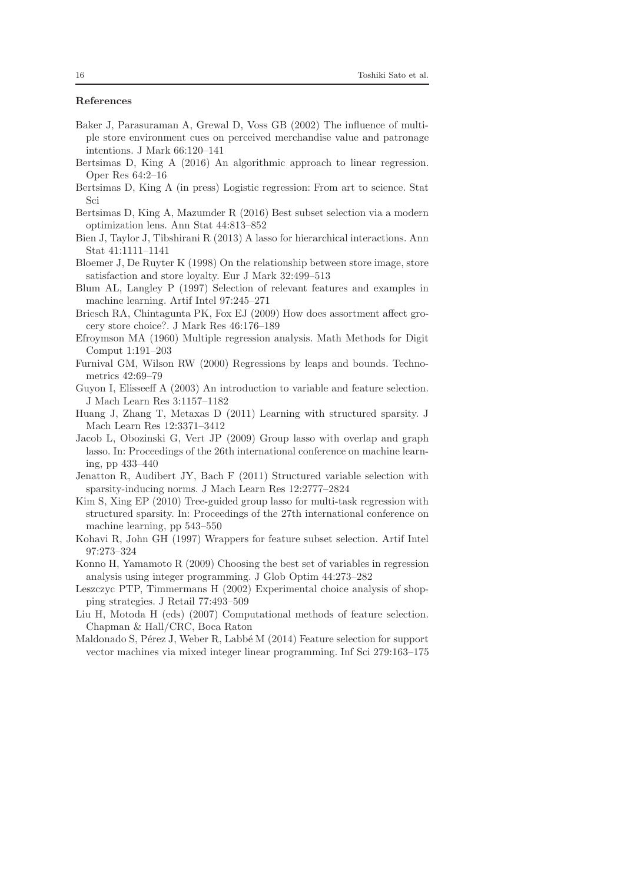## References

- <span id="page-15-10"></span>Baker J, Parasuraman A, Grewal D, Voss GB (2002) The influence of multiple store environment cues on perceived merchandise value and patronage intentions. J Mark 66:120–141
- <span id="page-15-19"></span>Bertsimas D, King A (2016) An algorithmic approach to linear regression. Oper Res 64:2–16
- <span id="page-15-6"></span>Bertsimas D, King A (in press) Logistic regression: From art to science. Stat Sci
- <span id="page-15-7"></span>Bertsimas D, King A, Mazumder R (2016) Best subset selection via a modern optimization lens. Ann Stat 44:813–852
- <span id="page-15-14"></span>Bien J, Taylor J, Tibshirani R (2013) A lasso for hierarchical interactions. Ann Stat 41:1111–1141
- <span id="page-15-11"></span>Bloemer J, De Ruyter K (1998) On the relationship between store image, store satisfaction and store loyalty. Eur J Mark 32:499–513
- <span id="page-15-1"></span>Blum AL, Langley P (1997) Selection of relevant features and examples in machine learning. Artif Intel 97:245–271
- <span id="page-15-12"></span>Briesch RA, Chintagunta PK, Fox EJ (2009) How does assortment affect grocery store choice?. J Mark Res 46:176–189
- <span id="page-15-5"></span>Efroymson MA (1960) Multiple regression analysis. Math Methods for Digit Comput 1:191–203
- <span id="page-15-4"></span>Furnival GM, Wilson RW (2000) Regressions by leaps and bounds. Technometrics 42:69–79
- <span id="page-15-0"></span>Guyon I, Elisseeff A (2003) An introduction to variable and feature selection. J Mach Learn Res 3:1157–1182
- <span id="page-15-15"></span>Huang J, Zhang T, Metaxas D (2011) Learning with structured sparsity. J Mach Learn Res 12:3371–3412
- <span id="page-15-16"></span>Jacob L, Obozinski G, Vert JP (2009) Group lasso with overlap and graph lasso. In: Proceedings of the 26th international conference on machine learning, pp 433–440
- <span id="page-15-17"></span>Jenatton R, Audibert JY, Bach F (2011) Structured variable selection with sparsity-inducing norms. J Mach Learn Res 12:2777–2824
- <span id="page-15-18"></span>Kim S, Xing EP (2010) Tree-guided group lasso for multi-task regression with structured sparsity. In: Proceedings of the 27th international conference on machine learning, pp 543–550
- <span id="page-15-2"></span>Kohavi R, John GH (1997) Wrappers for feature subset selection. Artif Intel 97:273–324
- <span id="page-15-8"></span>Konno H, Yamamoto R (2009) Choosing the best set of variables in regression analysis using integer programming. J Glob Optim 44:273–282
- <span id="page-15-13"></span>Leszczyc PTP, Timmermans H (2002) Experimental choice analysis of shopping strategies. J Retail 77:493–509
- <span id="page-15-3"></span>Liu H, Motoda H (eds) (2007) Computational methods of feature selection. Chapman & Hall/CRC, Boca Raton
- <span id="page-15-9"></span>Maldonado S, Pérez J, Weber R, Labbé M  $(2014)$  Feature selection for support vector machines via mixed integer linear programming. Inf Sci 279:163–175